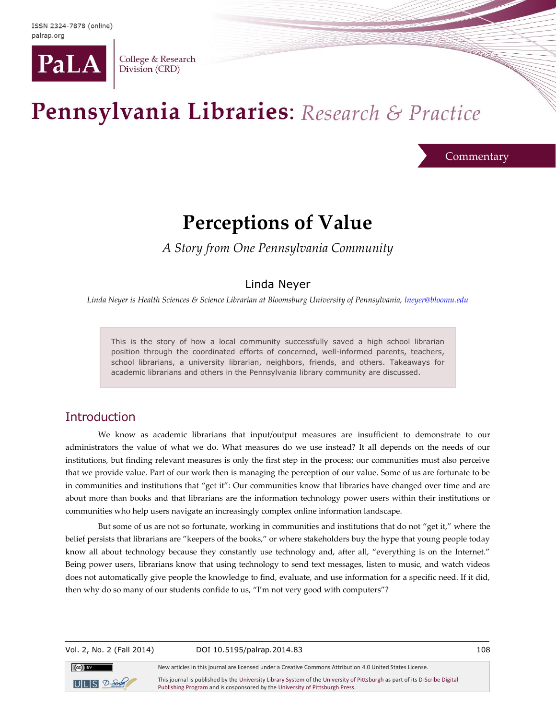

College & Research Division (CRD)

# Pennsylvania Libraries: Research & Practice

**Commentary** 

## **Perceptions of Value**

*A Story from One Pennsylvania Community*

## Linda Neyer

*Linda Neyer is Health Sciences & Science Librarian at Bloomsburg University of Pennsylvania[, lneyer@bloomu.edu](mailto:lneyer@bloomu.edu)*

This is the story of how a local community successfully saved a high school librarian position through the coordinated efforts of concerned, well-informed parents, teachers, school librarians, a university librarian, neighbors, friends, and others. Takeaways for academic librarians and others in the Pennsylvania library community are discussed.

## Introduction

We know as academic librarians that input/output measures are insufficient to demonstrate to our administrators the value of what we do. What measures do we use instead? It all depends on the needs of our institutions, but finding relevant measures is only the first step in the process; our communities must also perceive that we provide value. Part of our work then is managing the perception of our value. Some of us are fortunate to be in communities and institutions that "get it": Our communities know that libraries have changed over time and are about more than books and that librarians are the information technology power users within their institutions or communities who help users navigate an increasingly complex online information landscape.

But some of us are not so fortunate, working in communities and institutions that do not "get it," where the belief persists that librarians are "keepers of the books," or where stakeholders buy the hype that young people today know all about technology because they constantly use technology and, after all, "everything is on the Internet." Being power users, librarians know that using technology to send text messages, listen to music, and watch videos does not automatically give people the knowledge to find, evaluate, and use information for a specific need. If it did, then why do so many of our students confide to us, "I'm not very good with computers"?

Vol. 2, No. 2 (Fall 2014) DOI 10.5195/palrap.2014.83 108



New articles in this journal are licensed under a Creative Commons Attribution 4.0 United States License. This journal is published by th[e University Library System](http://www.library.pitt.edu/) of th[e University of Pittsburgh](http://www.pitt.edu/) as part of it[s D-Scribe Digital](http://www.library.pitt.edu/articles/digpubtype/index.html) 

[Publishing Program](http://www.library.pitt.edu/articles/digpubtype/index.html) and is cosponsored by th[e University of Pittsburgh Press.](http://upress.pitt.edu/)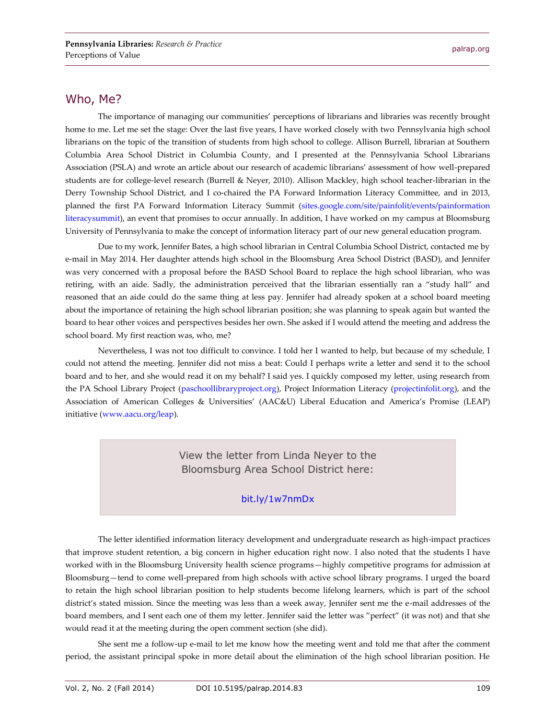#### Who, Me?

The importance of managing our communities' perceptions of librarians and libraries was recently brought home to me. Let me set the stage: Over the last five years, I have worked closely with two Pennsylvania high school librarians on the topic of the transition of students from high school to college. Allison Burrell, librarian at Southern Columbia Area School District in Columbia County, and I presented at the Pennsylvania School Librarians Association (PSLA) and wrote an article about our research of academic librarians' assessment of how well-prepared students are for college-level research (Burrell & Neyer, 2010). Allison Mackley, high school teacher-librarian in the Derry Township School District, and I co-chaired the PA Forward Information Literacy Committee, and in 2013, planned the first PA Forward Information Literacy Summit [\(sites.google.com/site/painfolit/events/painformation](https://sites.google.com/site/painfolit/events/painformationliteracysummit) [literacysummit\)](https://sites.google.com/site/painfolit/events/painformationliteracysummit), an event that promises to occur annually. In addition, I have worked on my campus at Bloomsburg University of Pennsylvania to make the concept of information literacy part of our new general education program.

Due to my work, Jennifer Bates, a high school librarian in Central Columbia School District, contacted me by e-mail in May 2014. Her daughter attends high school in the Bloomsburg Area School District (BASD), and Jennifer was very concerned with a proposal before the BASD School Board to replace the high school librarian, who was retiring, with an aide. Sadly, the administration perceived that the librarian essentially ran a "study hall" and reasoned that an aide could do the same thing at less pay. Jennifer had already spoken at a school board meeting about the importance of retaining the high school librarian position; she was planning to speak again but wanted the board to hear other voices and perspectives besides her own. She asked if I would attend the meeting and address the school board. My first reaction was, who, me?

Nevertheless, I was not too difficult to convince. I told her I wanted to help, but because of my schedule, I could not attend the meeting. Jennifer did not miss a beat: Could I perhaps write a letter and send it to the school board and to her, and she would read it on my behalf? I said yes. I quickly composed my letter, using research from the PA School Library Project [\(paschoollibraryproject.org\)](http://paschoollibraryproject.org/home), Project Information Literacy [\(projectinfolit.org\)](http://projectinfolit.org/), and the Association of American Colleges & Universities' (AAC&U) Liberal Education and America's Promise (LEAP) initiative [\(www.aacu.org/leap\)](http://www.aacu.org/leap).

> View the letter from Linda Neyer to the Bloomsburg Area School District here:

#### [bit.ly/1w7nmDx](http://bit.ly/1w7nmDx)

The letter identified information literacy development and undergraduate research as high-impact practices that improve student retention, a big concern in higher education right now. I also noted that the students I have worked with in the Bloomsburg University health science programs—highly competitive programs for admission at Bloomsburg—tend to come well-prepared from high schools with active school library programs. I urged the board to retain the high school librarian position to help students become lifelong learners, which is part of the school district's stated mission. Since the meeting was less than a week away, Jennifer sent me the e-mail addresses of the board members, and I sent each one of them my letter. Jennifer said the letter was "perfect" (it was not) and that she would read it at the meeting during the open comment section (she did).

She sent me a follow-up e-mail to let me know how the meeting went and told me that after the comment period, the assistant principal spoke in more detail about the elimination of the high school librarian position. He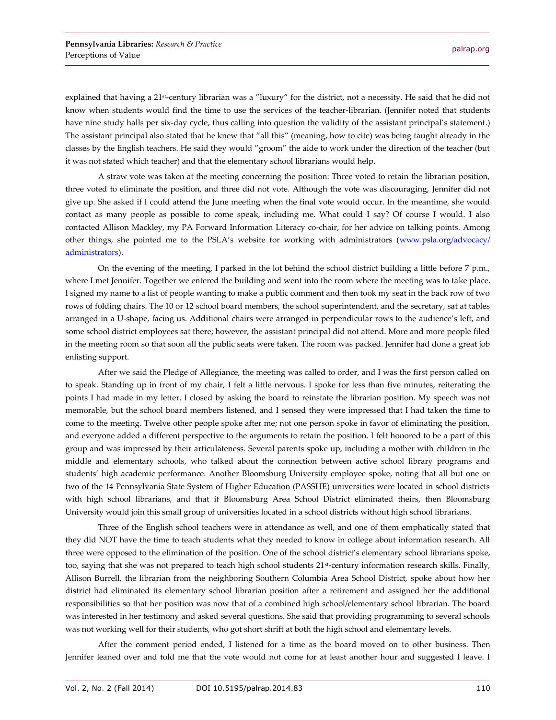explained that having a 21<sup>st</sup>-century librarian was a "luxury" for the district, not a necessity. He said that he did not know when students would find the time to use the services of the teacher-librarian. (Jennifer noted that students have nine study halls per six-day cycle, thus calling into question the validity of the assistant principal's statement.) The assistant principal also stated that he knew that "all this" (meaning, how to cite) was being taught already in the classes by the English teachers. He said they would "groom" the aide to work under the direction of the teacher (but it was not stated which teacher) and that the elementary school librarians would help.

A straw vote was taken at the meeting concerning the position: Three voted to retain the librarian position, three voted to eliminate the position, and three did not vote. Although the vote was discouraging, Jennifer did not give up. She asked if I could attend the June meeting when the final vote would occur. In the meantime, she would contact as many people as possible to come speak, including me. What could I say? Of course I would. I also contacted Allison Mackley, my PA Forward Information Literacy co-chair, for her advice on talking points. Among other things, she pointed me to the PSLA's website for working with administrators ([www.psla.org/advocacy/](http://www.psla.org/advocacy/administrators) [administrators\)](http://www.psla.org/advocacy/administrators).

On the evening of the meeting, I parked in the lot behind the school district building a little before 7 p.m., where I met Jennifer. Together we entered the building and went into the room where the meeting was to take place. I signed my name to a list of people wanting to make a public comment and then took my seat in the back row of two rows of folding chairs. The 10 or 12 school board members, the school superintendent, and the secretary, sat at tables arranged in a U-shape, facing us. Additional chairs were arranged in perpendicular rows to the audience's left, and some school district employees sat there; however, the assistant principal did not attend. More and more people filed in the meeting room so that soon all the public seats were taken. The room was packed. Jennifer had done a great job enlisting support.

After we said the Pledge of Allegiance, the meeting was called to order, and I was the first person called on to speak. Standing up in front of my chair, I felt a little nervous. I spoke for less than five minutes, reiterating the points I had made in my letter. I closed by asking the board to reinstate the librarian position. My speech was not memorable, but the school board members listened, and I sensed they were impressed that I had taken the time to come to the meeting. Twelve other people spoke after me; not one person spoke in favor of eliminating the position, and everyone added a different perspective to the arguments to retain the position. I felt honored to be a part of this group and was impressed by their articulateness. Several parents spoke up, including a mother with children in the middle and elementary schools, who talked about the connection between active school library programs and students' high academic performance. Another Bloomsburg University employee spoke, noting that all but one or two of the 14 Pennsylvania State System of Higher Education (PASSHE) universities were located in school districts with high school librarians, and that if Bloomsburg Area School District eliminated theirs, then Bloomsburg University would join this small group of universities located in a school districts without high school librarians.

Three of the English school teachers were in attendance as well, and one of them emphatically stated that they did NOT have the time to teach students what they needed to know in college about information research. All three were opposed to the elimination of the position. One of the school district's elementary school librarians spoke, too, saying that she was not prepared to teach high school students 21<sup>st</sup>-century information research skills. Finally, Allison Burrell, the librarian from the neighboring Southern Columbia Area School District, spoke about how her district had eliminated its elementary school librarian position after a retirement and assigned her the additional responsibilities so that her position was now that of a combined high school/elementary school librarian. The board was interested in her testimony and asked several questions. She said that providing programming to several schools was not working well for their students, who got short shrift at both the high school and elementary levels.

After the comment period ended, I listened for a time as the board moved on to other business. Then Jennifer leaned over and told me that the vote would not come for at least another hour and suggested I leave. I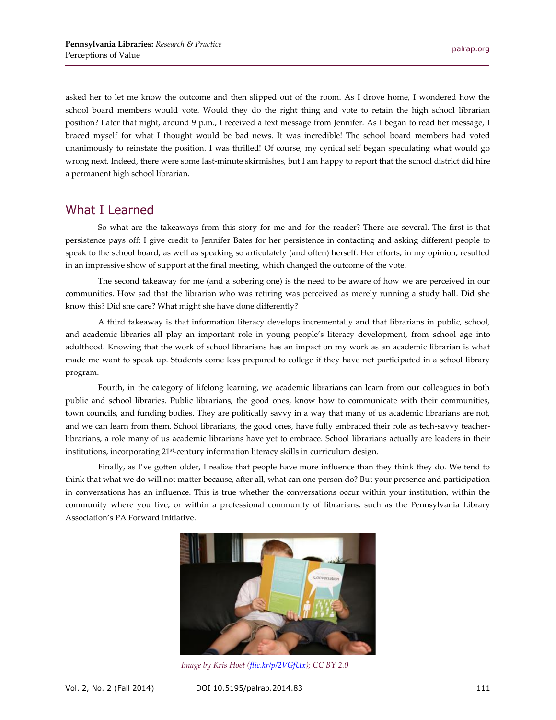asked her to let me know the outcome and then slipped out of the room. As I drove home, I wondered how the school board members would vote. Would they do the right thing and vote to retain the high school librarian position? Later that night, around 9 p.m., I received a text message from Jennifer. As I began to read her message, I braced myself for what I thought would be bad news. It was incredible! The school board members had voted unanimously to reinstate the position. I was thrilled! Of course, my cynical self began speculating what would go wrong next. Indeed, there were some last-minute skirmishes, but I am happy to report that the school district did hire a permanent high school librarian.

## What I Learned

So what are the takeaways from this story for me and for the reader? There are several. The first is that persistence pays off: I give credit to Jennifer Bates for her persistence in contacting and asking different people to speak to the school board, as well as speaking so articulately (and often) herself. Her efforts, in my opinion, resulted in an impressive show of support at the final meeting, which changed the outcome of the vote.

The second takeaway for me (and a sobering one) is the need to be aware of how we are perceived in our communities. How sad that the librarian who was retiring was perceived as merely running a study hall. Did she know this? Did she care? What might she have done differently?

A third takeaway is that information literacy develops incrementally and that librarians in public, school, and academic libraries all play an important role in young people's literacy development, from school age into adulthood. Knowing that the work of school librarians has an impact on my work as an academic librarian is what made me want to speak up. Students come less prepared to college if they have not participated in a school library program.

Fourth, in the category of lifelong learning, we academic librarians can learn from our colleagues in both public and school libraries. Public librarians, the good ones, know how to communicate with their communities, town councils, and funding bodies. They are politically savvy in a way that many of us academic librarians are not, and we can learn from them. School librarians, the good ones, have fully embraced their role as tech-savvy teacherlibrarians, a role many of us academic librarians have yet to embrace. School librarians actually are leaders in their institutions, incorporating 21st-century information literacy skills in curriculum design.

Finally, as I've gotten older, I realize that people have more influence than they think they do. We tend to think that what we do will not matter because, after all, what can one person do? But your presence and participation in conversations has an influence. This is true whether the conversations occur within your institution, within the community where you live, or within a professional community of librarians, such as the Pennsylvania Library Association's PA Forward initiative.



*Image by Kris Hoet [\(flic.kr/p/2VGfUx\)](https://flic.kr/p/2VGfUx); CC BY 2.0*